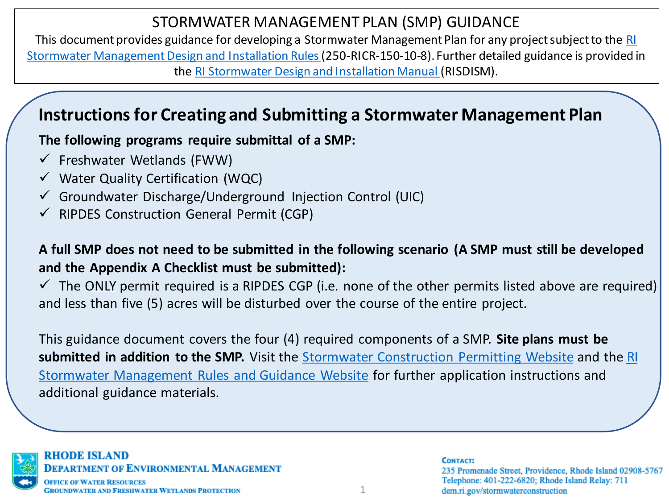This document provides guidance for developing a Stormwater Management Plan for any project subject to the RI [Stormwater Management Design and Installation Rules \(250-RICR-150-10-8\). Further detailed guidance is provided i](https://rules.sos.ri.gov/regulations/part/250-150-10-8)n the [RI Stormwater Design and Installation Manual](http://www.dem.ri.gov/pubs/regs/regs/water/swmanual15.pdf) (RISDISM).

# **Instructions for Creating and Submitting a Stormwater Management Plan**

**The following programs require submittal of a SMP:**

- $\checkmark$  Freshwater Wetlands (FWW)
- $\checkmark$  Water Quality Certification (WQC)
- $\checkmark$  Groundwater Discharge/Underground Injection Control (UIC)
- $\checkmark$  RIPDES Construction General Permit (CGP)

### **A full SMP does not need to be submitted in the following scenario (A SMP must still be developed and the Appendix A Checklist must be submitted):**

 $\checkmark$  The ONLY permit required is a RIPDES CGP (i.e. none of the other permits listed above are required) and less than five (5) acres will be disturbed over the course of the entire project.

This guidance document covers the four (4) required components of a SMP. **Site plans must be submitted in addition to the SMP.** Visit the [Stormwater Construction Permitting Website](http://www.dem.ri.gov/stormwaterconstruction) and the RI [Stormwater Management Rules and Guidance Website](http://www.dem.ri.gov/programs/water/permits/ripdes/stormwater/stormwater-manual.php) for further application instructions and additional guidance materials.



RHODE ISLAND **DEPARTMENT OF ENVIRONMENTAL MANAGEMENT ICE OF WATER RESOURCES** 

**GROUNDWATER AND FRESHWATER WETLANDS PROTECTION** 

**CONTACT:** 235 Promenade Street, Providence, Rhode Island 02908-5767 Telephone: 401-222-6820; Rhode Island Relay: 711 dem.ri.gov/stormwaterconstruction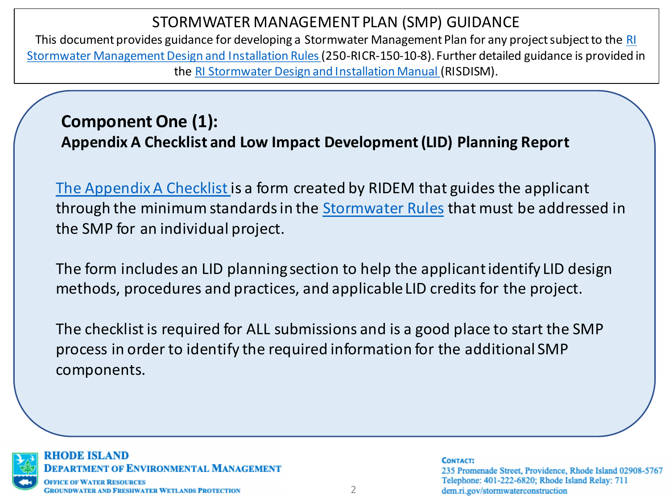This document provides guidance for developing a Stormwater Management Plan for any project subject to the RI [Stormwater Management Design and Installation Rules \(250-RICR-150-10-8\). Further detailed guidance is provided i](https://rules.sos.ri.gov/regulations/part/250-150-10-8)n the [RI Stormwater Design and Installation Manual](http://www.dem.ri.gov/pubs/regs/regs/water/swmanual15.pdf) (RISDISM).

# **Component One (1): Appendix A Checklist and Low Impact Development (LID) Planning Report**

[The Appendix A Checklist](http://www.dem.ri.gov/programs/benviron/water/permits/swcoord/cheklist.docx) is a form created by RIDEM that guides the applicant through the minimum standards in the [Stormwater Rules](https://rules.sos.ri.gov/regulations/part/250-150-10-8) that must be addressed in the SMP for an individual project.

The form includes an LID planning section to help the applicant identify LID design methods, procedures and practices, and applicable LID credits for the project.

The checklist is required for ALL submissions and is a good place to start the SMP process in order to identify the required information for the additional SMP components.



### RHODE ISLAND **DEPARTMENT OF ENVIRONMENTAL MANAGEMENT GROUNDWATER AND FRESHWATER WETLANDS PROTECTION**

#### **CONTACT:** 235 Promenade Street, Providence, Rhode Island 02908-5767 Telephone: 401-222-6820; Rhode Island Relay: 711 dem.ri.gov/stormwaterconstruction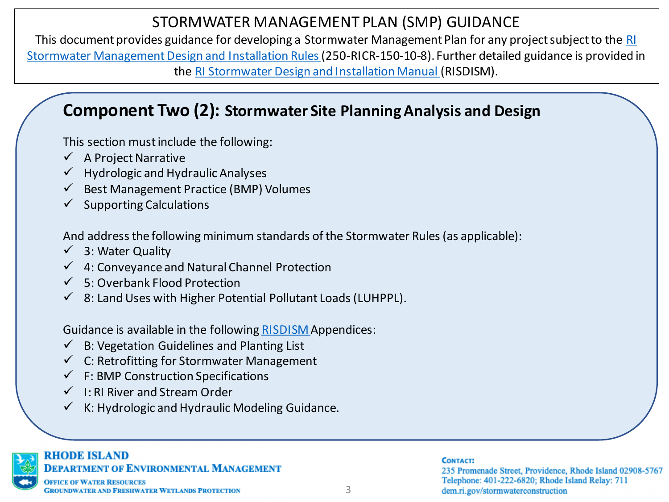This document provides guidance for developing a Stormwater Management Plan for any project subject to the RI [Stormwater Management Design and Installation Rules \(250-RICR-150-10-8\). Further detailed guidance is provided i](https://rules.sos.ri.gov/regulations/part/250-150-10-8)n the [RI Stormwater Design and Installation Manual](http://www.dem.ri.gov/pubs/regs/regs/water/swmanual15.pdf) (RISDISM).

# **Component Two (2): Stormwater Site Planning Analysis and Design**

This section must include the following:

- $\checkmark$  A Project Narrative
- $\checkmark$  Hydrologic and Hydraulic Analyses
- $\checkmark$  Best Management Practice (BMP) Volumes
- $\checkmark$  Supporting Calculations

And address the following minimum standards of the Stormwater Rules (as applicable):

- $\checkmark$  3: Water Quality
- $\checkmark$  4: Conveyance and Natural Channel Protection
- $\checkmark$  5: Overbank Flood Protection
- $\checkmark$  8: Land Uses with Higher Potential Pollutant Loads (LUHPPL).

Guidance is available in the following [RISDISM A](http://www.dem.ri.gov/pubs/regs/regs/water/swmanual15.pdf)ppendices:

- $\checkmark$  B: Vegetation Guidelines and Planting List
- $\checkmark$  C: Retrofitting for Stormwater Management
- $\checkmark$  F: BMP Construction Specifications
- $\checkmark$  I: RI River and Stream Order
- $\checkmark$  K: Hydrologic and Hydraulic Modeling Guidance.



### **RHODE ISLAND**

**DEPARTMENT OF ENVIRONMENTAL MANAGEMENT** 

### **CONTACT:**

235 Promenade Street, Providence, Rhode Island 02908-5767 Telephone: 401-222-6820; Rhode Island Relay: 711 dem.ri.gov/stormwaterconstruction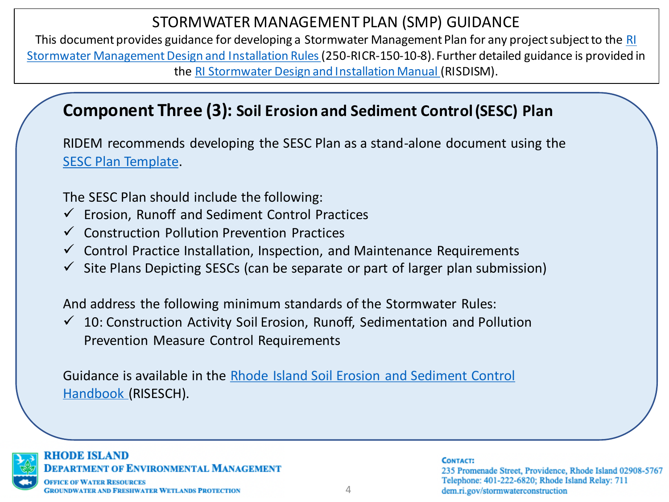This document provides guidance for developing a Stormwater Management Plan for any project subject to the RI [Stormwater Management Design and Installation Rules \(250-RICR-150-10-8\). Further detailed guidance is provided i](https://rules.sos.ri.gov/regulations/part/250-150-10-8)n the [RI Stormwater Design and Installation Manual](http://www.dem.ri.gov/pubs/regs/regs/water/swmanual15.pdf) (RISDISM).

# **Component Three (3): Soil Erosion and Sediment Control (SESC) Plan**

RIDEM recommends developing the SESC Plan as a stand-alone document using the [SESC Plan Template.](http://www.dem.ri.gov/programs/benviron/water/permits/swcoord/pdf/erosionsedplan16.docx)

The SESC Plan should include the following:

- $\checkmark$  Erosion, Runoff and Sediment Control Practices
- ✓ Construction Pollution Prevention Practices
- $\checkmark$  Control Practice Installation, Inspection, and Maintenance Requirements
- $\checkmark$  Site Plans Depicting SESCs (can be separate or part of larger plan submission)

And address the following minimum standards of the Stormwater Rules:

 $\checkmark$  10: Construction Activity Soil Erosion, Runoff, Sedimentation and Pollution Prevention Measure Control Requirements

[Guidance is available in the Rhode Island Soil Erosion and Sediment Control](http://www.dem.ri.gov/programs/bnatres/water/pdf/riesc-handbook16.pdf)  Handbook (RISESCH).



### RHODE ISLAND **DEPARTMENT OF ENVIRONMENTAL MANAGEMENT**

### **CONTACT:**

235 Promenade Street, Providence, Rhode Island 02908-5767 Telephone: 401-222-6820; Rhode Island Relay: 711 dem.ri.gov/stormwaterconstruction